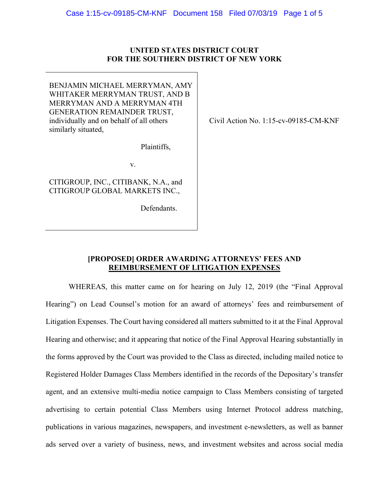# **UNITED STATES DISTRICT COURT FOR THE SOUTHERN DISTRICT OF NEW YORK**

BENJAMIN MICHAEL MERRYMAN, AMY WHITAKER MERRYMAN TRUST, AND B MERRYMAN AND A MERRYMAN 4TH GENERATION REMAINDER TRUST, individually and on behalf of all others similarly situated,

Plaintiffs,

v.

CITIGROUP, INC., CITIBANK, N.A., and CITIGROUP GLOBAL MARKETS INC.,

Defendants.

Civil Action No. 1:15-cv-09185-CM-KNF

# **[PROPOSED] ORDER AWARDING ATTORNEYS' FEES AND REIMBURSEMENT OF LITIGATION EXPENSES**

WHEREAS, this matter came on for hearing on July 12, 2019 (the "Final Approval Hearing") on Lead Counsel's motion for an award of attorneys' fees and reimbursement of Litigation Expenses. The Court having considered all matters submitted to it at the Final Approval Hearing and otherwise; and it appearing that notice of the Final Approval Hearing substantially in the forms approved by the Court was provided to the Class as directed, including mailed notice to Registered Holder Damages Class Members identified in the records of the Depositary's transfer agent, and an extensive multi-media notice campaign to Class Members consisting of targeted advertising to certain potential Class Members using Internet Protocol address matching, publications in various magazines, newspapers, and investment e-newsletters, as well as banner ads served over a variety of business, news, and investment websites and across social media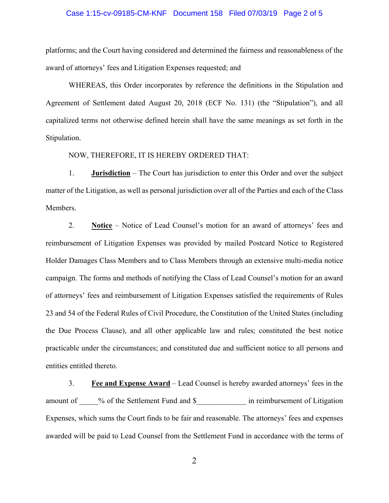## Case 1:15-cv-09185-CM-KNF Document 158 Filed 07/03/19 Page 2 of 5

platforms; and the Court having considered and determined the fairness and reasonableness of the award of attorneys' fees and Litigation Expenses requested; and

WHEREAS, this Order incorporates by reference the definitions in the Stipulation and Agreement of Settlement dated August 20, 2018 (ECF No. 131) (the "Stipulation"), and all capitalized terms not otherwise defined herein shall have the same meanings as set forth in the Stipulation.

## NOW, THEREFORE, IT IS HEREBY ORDERED THAT:

1. **Jurisdiction** – The Court has jurisdiction to enter this Order and over the subject matter of the Litigation, as well as personal jurisdiction over all of the Parties and each of the Class Members.

2. **Notice** – Notice of Lead Counsel's motion for an award of attorneys' fees and reimbursement of Litigation Expenses was provided by mailed Postcard Notice to Registered Holder Damages Class Members and to Class Members through an extensive multi-media notice campaign. The forms and methods of notifying the Class of Lead Counsel's motion for an award of attorneys' fees and reimbursement of Litigation Expenses satisfied the requirements of Rules 23 and 54 of the Federal Rules of Civil Procedure, the Constitution of the United States (including the Due Process Clause), and all other applicable law and rules; constituted the best notice practicable under the circumstances; and constituted due and sufficient notice to all persons and entities entitled thereto.

3. **Fee and Expense Award** – Lead Counsel is hereby awarded attorneys' fees in the amount of \_\_\_\_% of the Settlement Fund and \$\_\_\_\_\_\_\_\_\_\_\_\_\_ in reimbursement of Litigation Expenses, which sums the Court finds to be fair and reasonable. The attorneys' fees and expenses awarded will be paid to Lead Counsel from the Settlement Fund in accordance with the terms of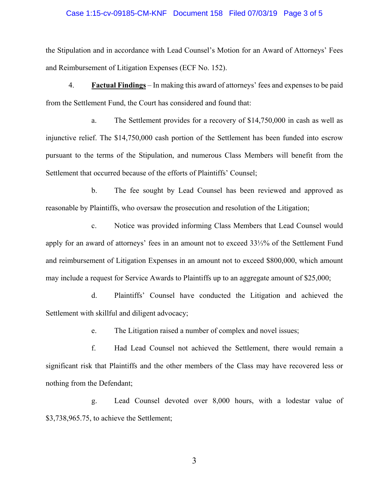#### Case 1:15-cv-09185-CM-KNF Document 158 Filed 07/03/19 Page 3 of 5

the Stipulation and in accordance with Lead Counsel's Motion for an Award of Attorneys' Fees and Reimbursement of Litigation Expenses (ECF No. 152).

4. **Factual Findings** – In making this award of attorneys' fees and expenses to be paid from the Settlement Fund, the Court has considered and found that:

a. The Settlement provides for a recovery of \$14,750,000 in cash as well as injunctive relief. The \$14,750,000 cash portion of the Settlement has been funded into escrow pursuant to the terms of the Stipulation, and numerous Class Members will benefit from the Settlement that occurred because of the efforts of Plaintiffs' Counsel;

b. The fee sought by Lead Counsel has been reviewed and approved as reasonable by Plaintiffs, who oversaw the prosecution and resolution of the Litigation;

c. Notice was provided informing Class Members that Lead Counsel would apply for an award of attorneys' fees in an amount not to exceed 33⅓% of the Settlement Fund and reimbursement of Litigation Expenses in an amount not to exceed \$800,000, which amount may include a request for Service Awards to Plaintiffs up to an aggregate amount of \$25,000;

d. Plaintiffs' Counsel have conducted the Litigation and achieved the Settlement with skillful and diligent advocacy;

e. The Litigation raised a number of complex and novel issues;

f. Had Lead Counsel not achieved the Settlement, there would remain a significant risk that Plaintiffs and the other members of the Class may have recovered less or nothing from the Defendant;

g. Lead Counsel devoted over 8,000 hours, with a lodestar value of \$3,738,965.75, to achieve the Settlement;

3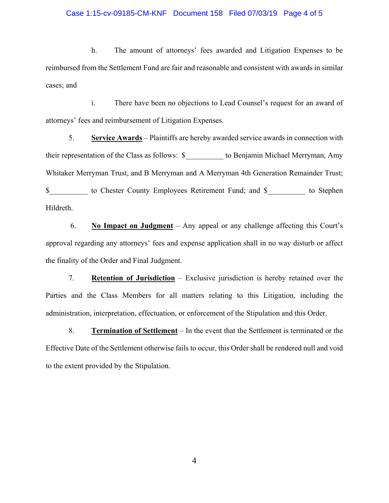## Case 1:15-cv-09185-CM-KNF Document 158 Filed 07/03/19 Page 4 of 5

h. The amount of attorneys' fees awarded and Litigation Expenses to be reimbursed from the Settlement Fund are fair and reasonable and consistent with awards in similar cases; and

i. There have been no objections to Lead Counsel's request for an award of attorneys' fees and reimbursement of Litigation Expenses.

5. **Service Awards** – Plaintiffs are hereby awarded service awards in connection with their representation of the Class as follows: \$\_\_\_\_\_\_\_\_\_\_ to Benjamin Michael Merryman, Amy Whitaker Merryman Trust, and B Merryman and A Merryman 4th Generation Remainder Trust; \$\_\_\_\_\_\_\_\_\_\_ to Chester County Employees Retirement Fund; and \$\_\_\_\_\_\_\_\_\_\_ to Stephen Hildreth.

 6. **No Impact on Judgment** – Any appeal or any challenge affecting this Court's approval regarding any attorneys' fees and expense application shall in no way disturb or affect the finality of the Order and Final Judgment.

7. **Retention of Jurisdiction** – Exclusive jurisdiction is hereby retained over the Parties and the Class Members for all matters relating to this Litigation, including the administration, interpretation, effectuation, or enforcement of the Stipulation and this Order.

8. **Termination of Settlement** – In the event that the Settlement is terminated or the Effective Date of the Settlement otherwise fails to occur, this Order shall be rendered null and void to the extent provided by the Stipulation.

4